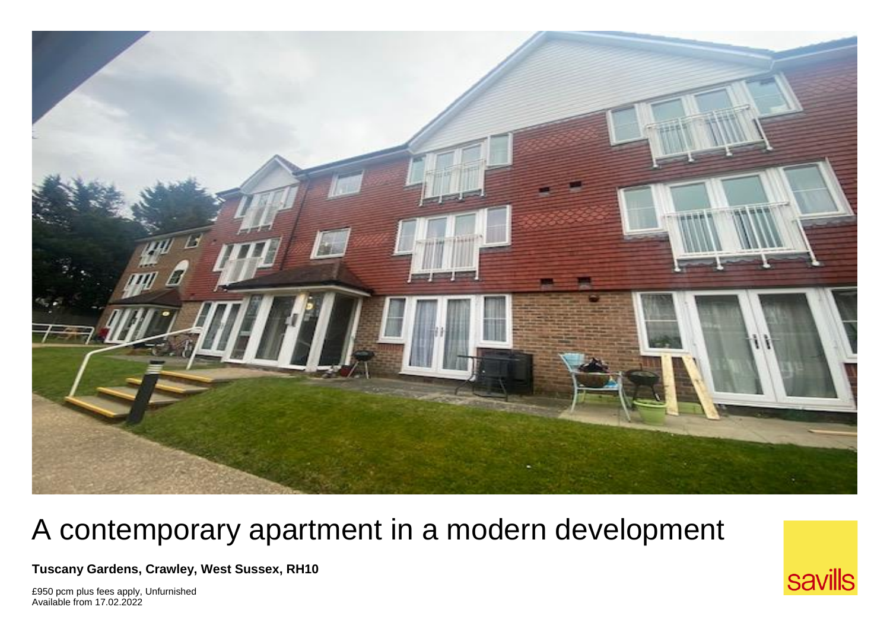

## A contemporary apartment in a modern development

**Tuscany Gardens, Crawley, West Sussex, RH10** 

£950 pcm plus fees apply, Unfurnished Available from 17.02.2022

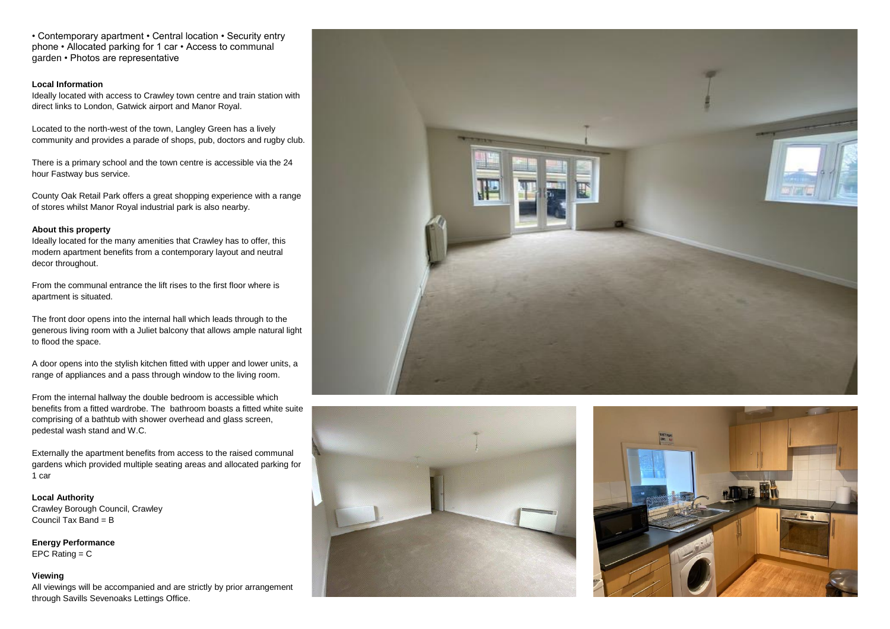• Contemporary apartment • Central location • Security entry phone • Allocated parking for 1 car • Access to communal garden • Photos are representative

## **Local Information**

Ideally located with access to Crawley town centre and train station with direct links to London, Gatwick airport and Manor Royal.

Located to the north-west of the town, Langley Green has a lively community and provides a parade of shops, pub, doctors and rugby club.

There is a primary school and the town centre is accessible via the 24 hour Fastway bus service.

County Oak Retail Park offers a great shopping experience with a range of stores whilst Manor Royal industrial park is also nearby.

## **About this property**

Ideally located for the many amenities that Crawley has to offer, this modern apartment benefits from a contemporary layout and neutral decor throughout.

From the communal entrance the lift rises to the first floor where is apartment is situated.

The front door opens into the internal hall which leads through to the generous living room with a Juliet balcony that allows ample natural light to flood the space.

A door opens into the stylish kitchen fitted with upper and lower units, a range of appliances and a pass through window to the living room.

From the internal hallway the double bedroom is accessible which benefits from a fitted wardrobe. The bathroom boasts a fitted white suite comprising of a bathtub with shower overhead and glass screen, pedestal wash stand and W.C.

Externally the apartment benefits from access to the raised communal gardens which provided multiple seating areas and allocated parking for 1 car

**Local Authority** Crawley Borough Council, Crawley Council Tax Band = B

**Energy Performance** EPC Rating  $= C$ 

## **Viewing**

All viewings will be accompanied and are strictly by prior arrangement through Savills Sevenoaks Lettings Office.